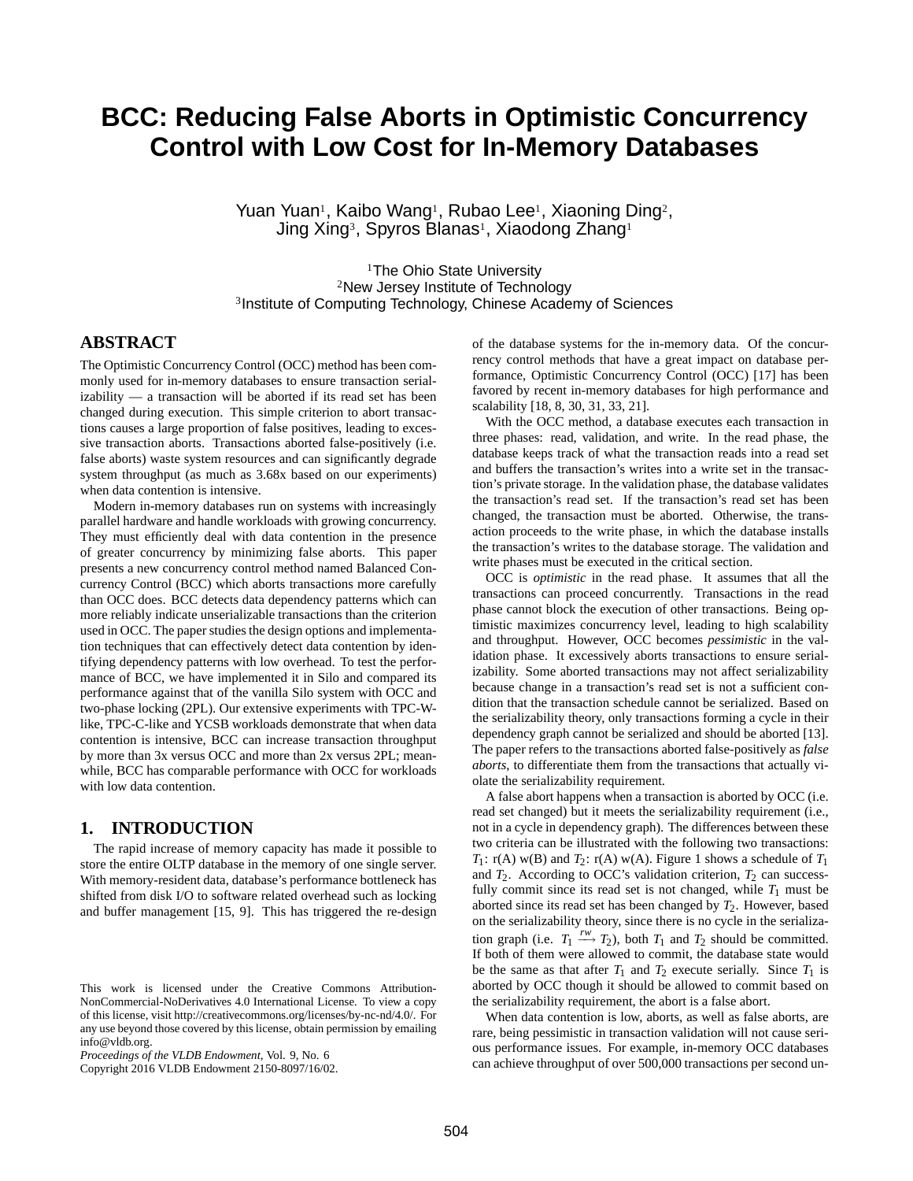# **BCC: Reducing False Aborts in Optimistic Concurrency Control with Low Cost for In-Memory Databases**

Yuan Yuan<sup>1</sup>, Kaibo Wang<sup>1</sup>, Rubao Lee<sup>1</sup>, Xiaoning Ding<sup>2</sup>, Jing Xing<sup>3</sup>, Spyros Blanas<sup>1</sup>, Xiaodong Zhang<sup>1</sup>

<sup>1</sup>The Ohio State University <sup>2</sup>New Jersey Institute of Technology 3 Institute of Computing Technology, Chinese Academy of Sciences

# **ABSTRACT**

The Optimistic Concurrency Control (OCC) method has been commonly used for in-memory databases to ensure transaction serializability — a transaction will be aborted if its read set has been changed during execution. This simple criterion to abort transactions causes a large proportion of false positives, leading to excessive transaction aborts. Transactions aborted false-positively (i.e. false aborts) waste system resources and can significantly degrade system throughput (as much as 3.68x based on our experiments) when data contention is intensive.

Modern in-memory databases run on systems with increasingly parallel hardware and handle workloads with growing concurrency. They must efficiently deal with data contention in the presence of greater concurrency by minimizing false aborts. This paper presents a new concurrency control method named Balanced Concurrency Control (BCC) which aborts transactions more carefully than OCC does. BCC detects data dependency patterns which can more reliably indicate unserializable transactions than the criterion used in OCC. The paper studies the design options and implementation techniques that can effectively detect data contention by identifying dependency patterns with low overhead. To test the performance of BCC, we have implemented it in Silo and compared its performance against that of the vanilla Silo system with OCC and two-phase locking (2PL). Our extensive experiments with TPC-Wlike, TPC-C-like and YCSB workloads demonstrate that when data contention is intensive, BCC can increase transaction throughput by more than 3x versus OCC and more than 2x versus 2PL; meanwhile, BCC has comparable performance with OCC for workloads with low data contention.

# **1. INTRODUCTION**

The rapid increase of memory capacity has made it possible to store the entire OLTP database in the memory of one single server. With memory-resident data, database's performance bottleneck has shifted from disk I/O to software related overhead such as locking and buffer management [15, 9]. This has triggered the re-design

Copyright 2016 VLDB Endowment 2150-8097/16/02.

of the database systems for the in-memory data. Of the concurrency control methods that have a great impact on database performance, Optimistic Concurrency Control (OCC) [17] has been favored by recent in-memory databases for high performance and scalability [18, 8, 30, 31, 33, 21].

With the OCC method, a database executes each transaction in three phases: read, validation, and write. In the read phase, the database keeps track of what the transaction reads into a read set and buffers the transaction's writes into a write set in the transaction's private storage. In the validation phase, the database validates the transaction's read set. If the transaction's read set has been changed, the transaction must be aborted. Otherwise, the transaction proceeds to the write phase, in which the database installs the transaction's writes to the database storage. The validation and write phases must be executed in the critical section.

OCC is *optimistic* in the read phase. It assumes that all the transactions can proceed concurrently. Transactions in the read phase cannot block the execution of other transactions. Being optimistic maximizes concurrency level, leading to high scalability and throughput. However, OCC becomes *pessimistic* in the validation phase. It excessively aborts transactions to ensure serializability. Some aborted transactions may not affect serializability because change in a transaction's read set is not a sufficient condition that the transaction schedule cannot be serialized. Based on the serializability theory, only transactions forming a cycle in their dependency graph cannot be serialized and should be aborted [13]. The paper refers to the transactions aborted false-positively as *false aborts*, to differentiate them from the transactions that actually violate the serializability requirement.

A false abort happens when a transaction is aborted by OCC (i.e. read set changed) but it meets the serializability requirement (i.e., not in a cycle in dependency graph). The differences between these two criteria can be illustrated with the following two transactions: *T*<sub>1</sub>:  $r(A)$  w(B) and *T*<sub>2</sub>:  $r(A)$  w(A). Figure 1 shows a schedule of *T*<sub>1</sub> and  $T_2$ . According to OCC's validation criterion,  $T_2$  can successfully commit since its read set is not changed, while  $T_1$  must be aborted since its read set has been changed by  $T_2$ . However, based on the serializability theory, since there is no cycle in the serialization graph (i.e.  $T_1 \xrightarrow{rw} T_2$ ), both  $T_1$  and  $T_2$  should be committed. If both of them were allowed to commit, the database state would be the same as that after  $T_1$  and  $T_2$  execute serially. Since  $T_1$  is aborted by OCC though it should be allowed to commit based on the serializability requirement, the abort is a false abort.

When data contention is low, aborts, as well as false aborts, are rare, being pessimistic in transaction validation will not cause serious performance issues. For example, in-memory OCC databases can achieve throughput of over 500,000 transactions per second un-

This work is licensed under the Creative Commons Attribution-NonCommercial-NoDerivatives 4.0 International License. To view a copy of this license, visit http://creativecommons.org/licenses/by-nc-nd/4.0/. For any use beyond those covered by this license, obtain permission by emailing info@vldb.org.

*Proceedings of the VLDB Endowment,* Vol. 9, No. 6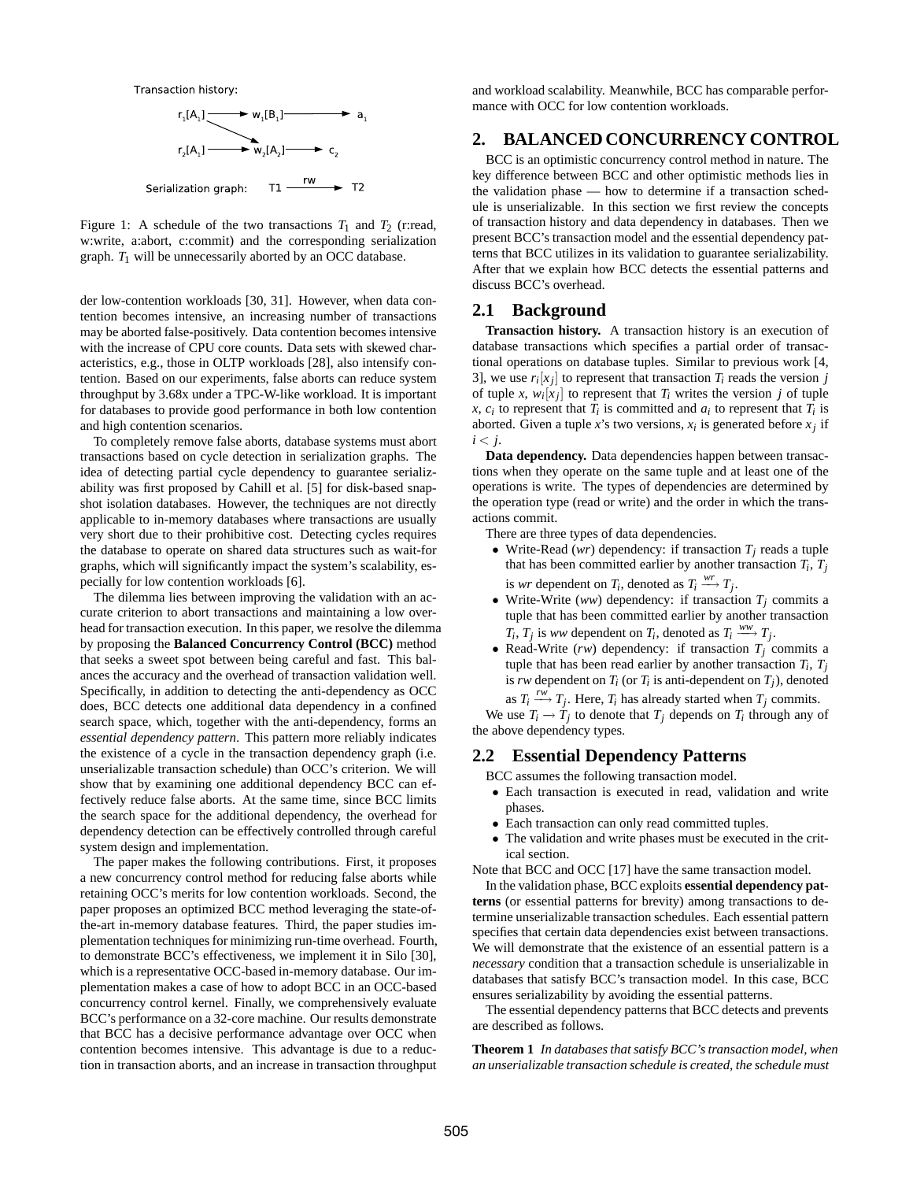Transaction history:



Figure 1: A schedule of the two transactions  $T_1$  and  $T_2$  (r:read, w:write, a:abort, c:commit) and the corresponding serialization graph. *T*<sup>1</sup> will be unnecessarily aborted by an OCC database.

der low-contention workloads [30, 31]. However, when data contention becomes intensive, an increasing number of transactions may be aborted false-positively. Data contention becomes intensive with the increase of CPU core counts. Data sets with skewed characteristics, e.g., those in OLTP workloads [28], also intensify contention. Based on our experiments, false aborts can reduce system throughput by 3.68x under a TPC-W-like workload. It is important for databases to provide good performance in both low contention and high contention scenarios.

To completely remove false aborts, database systems must abort transactions based on cycle detection in serialization graphs. The idea of detecting partial cycle dependency to guarantee serializability was first proposed by Cahill et al. [5] for disk-based snapshot isolation databases. However, the techniques are not directly applicable to in-memory databases where transactions are usually very short due to their prohibitive cost. Detecting cycles requires the database to operate on shared data structures such as wait-for graphs, which will significantly impact the system's scalability, especially for low contention workloads [6].

The dilemma lies between improving the validation with an accurate criterion to abort transactions and maintaining a low overhead for transaction execution. In this paper, we resolve the dilemma by proposing the **Balanced Concurrency Control (BCC)** method that seeks a sweet spot between being careful and fast. This balances the accuracy and the overhead of transaction validation well. Specifically, in addition to detecting the anti-dependency as OCC does, BCC detects one additional data dependency in a confined search space, which, together with the anti-dependency, forms an *essential dependency pattern*. This pattern more reliably indicates the existence of a cycle in the transaction dependency graph (i.e. unserializable transaction schedule) than OCC's criterion. We will show that by examining one additional dependency BCC can effectively reduce false aborts. At the same time, since BCC limits the search space for the additional dependency, the overhead for dependency detection can be effectively controlled through careful system design and implementation.

The paper makes the following contributions. First, it proposes a new concurrency control method for reducing false aborts while retaining OCC's merits for low contention workloads. Second, the paper proposes an optimized BCC method leveraging the state-ofthe-art in-memory database features. Third, the paper studies implementation techniques for minimizing run-time overhead. Fourth, to demonstrate BCC's effectiveness, we implement it in Silo [30], which is a representative OCC-based in-memory database. Our implementation makes a case of how to adopt BCC in an OCC-based concurrency control kernel. Finally, we comprehensively evaluate BCC's performance on a 32-core machine. Our results demonstrate that BCC has a decisive performance advantage over OCC when contention becomes intensive. This advantage is due to a reduction in transaction aborts, and an increase in transaction throughput and workload scalability. Meanwhile, BCC has comparable performance with OCC for low contention workloads.

# **2. BALANCED CONCURRENCY CONTROL**

BCC is an optimistic concurrency control method in nature. The key difference between BCC and other optimistic methods lies in the validation phase — how to determine if a transaction schedule is unserializable. In this section we first review the concepts of transaction history and data dependency in databases. Then we present BCC's transaction model and the essential dependency patterns that BCC utilizes in its validation to guarantee serializability. After that we explain how BCC detects the essential patterns and discuss BCC's overhead.

#### **2.1 Background**

**Transaction history.** A transaction history is an execution of database transactions which specifies a partial order of transactional operations on database tuples. Similar to previous work [4, 3], we use  $r_i[x_j]$  to represent that transaction  $T_i$  reads the version  $j$ of tuple *x*,  $w_i[x_j]$  to represent that  $T_i$  writes the version *j* of tuple *x*,  $c_i$  to represent that  $T_i$  is committed and  $a_i$  to represent that  $T_i$  is aborted. Given a tuple x's two versions,  $x_i$  is generated before  $x_j$  if  $i < i$ .

**Data dependency.** Data dependencies happen between transactions when they operate on the same tuple and at least one of the operations is write. The types of dependencies are determined by the operation type (read or write) and the order in which the transactions commit.

There are three types of data dependencies.

- Write-Read  $(wr)$  dependency: if transaction  $T_i$  reads a tuple that has been committed earlier by another transaction *T<sup>i</sup>* , *T<sup>j</sup>* is *wr* dependent on  $T_i$ , denoted as  $T_i \stackrel{wr}{\longrightarrow} T_j$ .
- Write-Write (*ww*) dependency: if transaction  $T_i$  commits a tuple that has been committed earlier by another transaction  $T_i$ ,  $T_j$  is *ww* dependent on  $T_i$ , denoted as  $T_i \xrightarrow{ww} T_j$ .
- Read-Write  $(rw)$  dependency: if transaction  $T_i$  commits a tuple that has been read earlier by another transaction  $T_i$ ,  $T_j$ is *rw* dependent on  $T_i$  (or  $T_i$  is anti-dependent on  $T_j$ ), denoted

as  $T_i \xrightarrow{rw} T_j$ . Here,  $T_i$  has already started when  $T_j$  commits. We use  $T_i \rightarrow T_j$  to denote that  $T_j$  depends on  $T_i$  through any of the above dependency types.

# **2.2 Essential Dependency Patterns**

BCC assumes the following transaction model.

- Each transaction is executed in read, validation and write phases.
- Each transaction can only read committed tuples.
- The validation and write phases must be executed in the critical section.

Note that BCC and OCC [17] have the same transaction model.

In the validation phase, BCC exploits **essential dependency patterns** (or essential patterns for brevity) among transactions to determine unserializable transaction schedules. Each essential pattern specifies that certain data dependencies exist between transactions. We will demonstrate that the existence of an essential pattern is a *necessary* condition that a transaction schedule is unserializable in databases that satisfy BCC's transaction model. In this case, BCC ensures serializability by avoiding the essential patterns.

The essential dependency patterns that BCC detects and prevents are described as follows.

**Theorem 1** *In databases that satisfy BCC's transaction model, when an unserializable transaction schedule is created, the schedule must*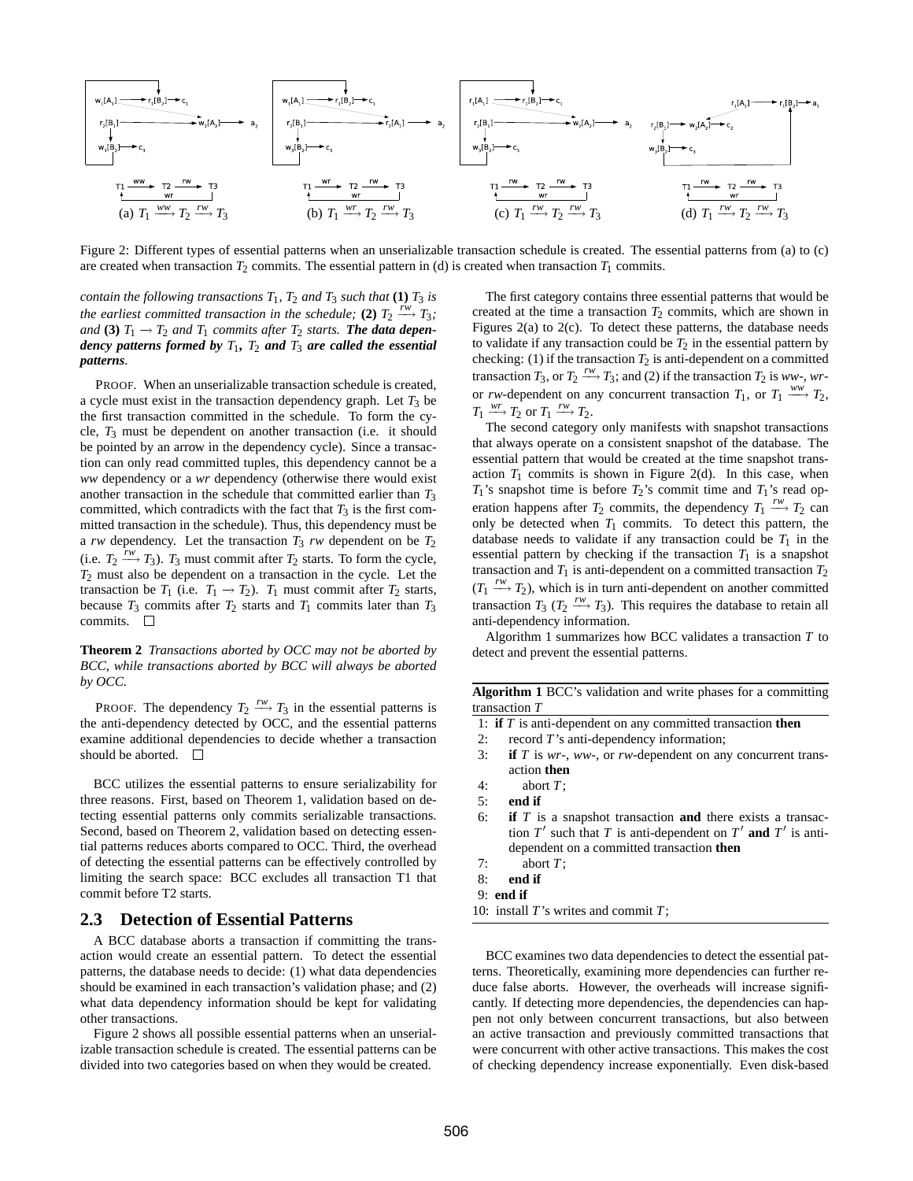

Figure 2: Different types of essential patterns when an unserializable transaction schedule is created. The essential patterns from (a) to (c) are created when transaction  $T_2$  commits. The essential pattern in (d) is created when transaction  $T_1$  commits.

*contain the following transactions*  $T_1$ *,*  $T_2$  *and*  $T_3$  *such that* (1)  $T_3$  *is the earliest committed transaction in the schedule;* **(2)**  $T_2 \xrightarrow{rw} T_3$ ; *and* **(3)**  $T_1 \rightarrow T_2$  *and*  $T_1$  *commits after*  $T_2$  *starts. The data dependency patterns formed by*  $T_1$ ,  $T_2$  *and*  $T_3$  *are called the essential patterns.*

PROOF. When an unserializable transaction schedule is created, a cycle must exist in the transaction dependency graph. Let  $T_3$  be the first transaction committed in the schedule. To form the cycle, *T*<sup>3</sup> must be dependent on another transaction (i.e. it should be pointed by an arrow in the dependency cycle). Since a transaction can only read committed tuples, this dependency cannot be a *ww* dependency or a *wr* dependency (otherwise there would exist another transaction in the schedule that committed earlier than *T*<sup>3</sup> committed, which contradicts with the fact that  $T_3$  is the first committed transaction in the schedule). Thus, this dependency must be a *rw* dependency. Let the transaction  $T_3$  *rw* dependent on be  $T_2$ (i.e.  $T_2 \xrightarrow{rw} T_3$ ).  $T_3$  must commit after  $T_2$  starts. To form the cycle, *T*<sup>2</sup> must also be dependent on a transaction in the cycle. Let the transaction be  $T_1$  (i.e.  $T_1 \rightarrow T_2$ ).  $T_1$  must commit after  $T_2$  starts, because  $T_3$  commits after  $T_2$  starts and  $T_1$  commits later than  $T_3$ commits.  $\square$ 

**Theorem 2** *Transactions aborted by OCC may not be aborted by BCC, while transactions aborted by BCC will always be aborted by OCC.*

PROOF. The dependency  $T_2 \stackrel{rw}{\longrightarrow} T_3$  in the essential patterns is the anti-dependency detected by OCC, and the essential patterns examine additional dependencies to decide whether a transaction should be aborted.  $\square$ 

BCC utilizes the essential patterns to ensure serializability for three reasons. First, based on Theorem 1, validation based on detecting essential patterns only commits serializable transactions. Second, based on Theorem 2, validation based on detecting essential patterns reduces aborts compared to OCC. Third, the overhead of detecting the essential patterns can be effectively controlled by limiting the search space: BCC excludes all transaction T1 that commit before T2 starts.

# **2.3 Detection of Essential Patterns**

A BCC database aborts a transaction if committing the transaction would create an essential pattern. To detect the essential patterns, the database needs to decide: (1) what data dependencies should be examined in each transaction's validation phase; and (2) what data dependency information should be kept for validating other transactions.

Figure 2 shows all possible essential patterns when an unserializable transaction schedule is created. The essential patterns can be divided into two categories based on when they would be created.

The first category contains three essential patterns that would be created at the time a transaction  $T_2$  commits, which are shown in Figures 2(a) to 2(c). To detect these patterns, the database needs to validate if any transaction could be  $T_2$  in the essential pattern by checking: (1) if the transaction  $T_2$  is anti-dependent on a committed transaction  $T_3$ , or  $T_2 \stackrel{rw}{\longrightarrow} T_3$ ; and (2) if the transaction  $T_2$  is *ww*-, *wr*or *rw*-dependent on any concurrent transaction  $T_1$ , or  $T_1 \xrightarrow{ww} T_2$ ,  $T_1 \xrightarrow{wr} T_2$  or  $T_1 \xrightarrow{rw} T_2$ .

The second category only manifests with snapshot transactions that always operate on a consistent snapshot of the database. The essential pattern that would be created at the time snapshot transaction  $T_1$  commits is shown in Figure 2(d). In this case, when  $T_1$ 's snapshot time is before  $T_2$ 's commit time and  $T_1$ 's read operation happens after  $T_2$  commits, the dependency  $T_1 \stackrel{rw}{\longrightarrow} T_2$  can only be detected when  $T_1$  commits. To detect this pattern, the database needs to validate if any transaction could be  $T_1$  in the essential pattern by checking if the transaction  $T_1$  is a snapshot transaction and  $T_1$  is anti-dependent on a committed transaction  $T_2$  $(T_1 \xrightarrow{rw} T_2)$ , which is in turn anti-dependent on another committed transaction  $T_3$  ( $T_2 \xrightarrow{rw} T_3$ ). This requires the database to retain all anti-dependency information.

Algorithm 1 summarizes how BCC validates a transaction *T* to detect and prevent the essential patterns.

**Algorithm 1** BCC's validation and write phases for a committing transaction *T*

- 1: **if** *T* is anti-dependent on any committed transaction **then**
- 2: record *T*'s anti-dependency information;
- 3: **if** *T* is *wr*-, *ww*-, or *rw*-dependent on any concurrent transaction **then**
- 4: abort *T*;
- 5: **end if**
- 6: **if** *T* is a snapshot transaction **and** there exists a transaction  $T'$  such that  $T$  is anti-dependent on  $T'$  and  $T'$  is antidependent on a committed transaction **then**
- 7: abort *T*;
- 8: **end if**
- 9: **end if**
- 10: install *T*'s writes and commit *T*;

BCC examines two data dependencies to detect the essential patterns. Theoretically, examining more dependencies can further reduce false aborts. However, the overheads will increase significantly. If detecting more dependencies, the dependencies can happen not only between concurrent transactions, but also between an active transaction and previously committed transactions that were concurrent with other active transactions. This makes the cost of checking dependency increase exponentially. Even disk-based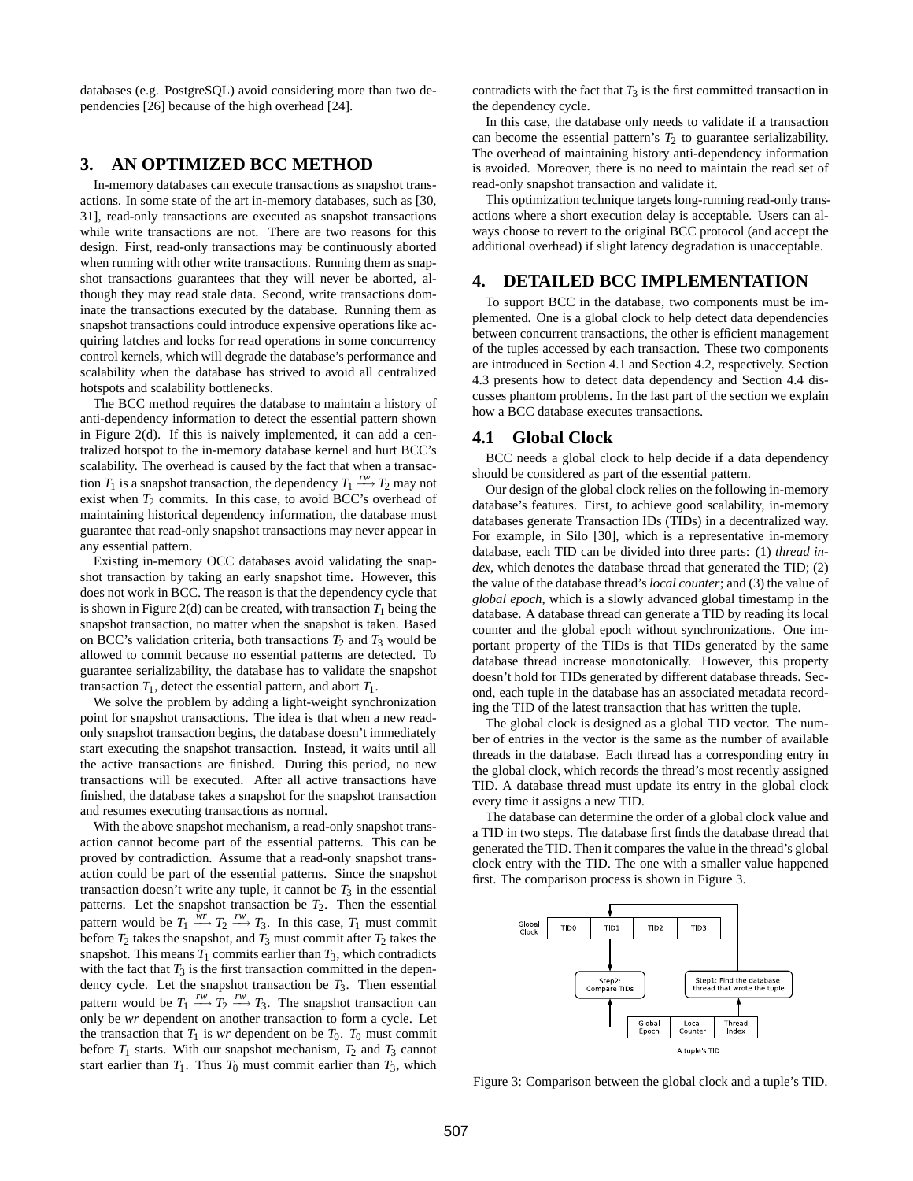databases (e.g. PostgreSQL) avoid considering more than two dependencies [26] because of the high overhead [24].

# **3. AN OPTIMIZED BCC METHOD**

In-memory databases can execute transactions as snapshot transactions. In some state of the art in-memory databases, such as [30, 31], read-only transactions are executed as snapshot transactions while write transactions are not. There are two reasons for this design. First, read-only transactions may be continuously aborted when running with other write transactions. Running them as snapshot transactions guarantees that they will never be aborted, although they may read stale data. Second, write transactions dominate the transactions executed by the database. Running them as snapshot transactions could introduce expensive operations like acquiring latches and locks for read operations in some concurrency control kernels, which will degrade the database's performance and scalability when the database has strived to avoid all centralized hotspots and scalability bottlenecks.

The BCC method requires the database to maintain a history of anti-dependency information to detect the essential pattern shown in Figure 2(d). If this is naively implemented, it can add a centralized hotspot to the in-memory database kernel and hurt BCC's scalability. The overhead is caused by the fact that when a transaction  $T_1$  is a snapshot transaction, the dependency  $T_1 \stackrel{rw}{\longrightarrow} T_2$  may not exist when  $T_2$  commits. In this case, to avoid BCC's overhead of maintaining historical dependency information, the database must guarantee that read-only snapshot transactions may never appear in any essential pattern.

Existing in-memory OCC databases avoid validating the snapshot transaction by taking an early snapshot time. However, this does not work in BCC. The reason is that the dependency cycle that is shown in Figure 2(d) can be created, with transaction  $T_1$  being the snapshot transaction, no matter when the snapshot is taken. Based on BCC's validation criteria, both transactions  $T_2$  and  $T_3$  would be allowed to commit because no essential patterns are detected. To guarantee serializability, the database has to validate the snapshot transaction  $T_1$ , detect the essential pattern, and abort  $T_1$ .

We solve the problem by adding a light-weight synchronization point for snapshot transactions. The idea is that when a new readonly snapshot transaction begins, the database doesn't immediately start executing the snapshot transaction. Instead, it waits until all the active transactions are finished. During this period, no new transactions will be executed. After all active transactions have finished, the database takes a snapshot for the snapshot transaction and resumes executing transactions as normal.

With the above snapshot mechanism, a read-only snapshot transaction cannot become part of the essential patterns. This can be proved by contradiction. Assume that a read-only snapshot transaction could be part of the essential patterns. Since the snapshot transaction doesn't write any tuple, it cannot be  $T_3$  in the essential patterns. Let the snapshot transaction be  $T_2$ . Then the essential pattern would be  $T_1 \xrightarrow{\hat{w}_T} T_2 \xrightarrow{rw} T_3$ . In this case,  $T_1$  must commit before  $T_2$  takes the snapshot, and  $T_3$  must commit after  $T_2$  takes the snapshot. This means  $T_1$  commits earlier than  $T_3$ , which contradicts with the fact that  $T_3$  is the first transaction committed in the dependency cycle. Let the snapshot transaction be  $T_3$ . Then essential pattern would be  $T_1 \stackrel{rw}{\longrightarrow} T_2 \stackrel{rw}{\longrightarrow} T_3$ . The snapshot transaction can only be *wr* dependent on another transaction to form a cycle. Let the transaction that  $T_1$  is *wr* dependent on be  $T_0$ .  $T_0$  must commit before  $T_1$  starts. With our snapshot mechanism,  $T_2$  and  $T_3$  cannot start earlier than  $T_1$ . Thus  $T_0$  must commit earlier than  $T_3$ , which contradicts with the fact that  $T_3$  is the first committed transaction in the dependency cycle.

In this case, the database only needs to validate if a transaction can become the essential pattern's  $T_2$  to guarantee serializability. The overhead of maintaining history anti-dependency information is avoided. Moreover, there is no need to maintain the read set of read-only snapshot transaction and validate it.

This optimization technique targets long-running read-only transactions where a short execution delay is acceptable. Users can always choose to revert to the original BCC protocol (and accept the additional overhead) if slight latency degradation is unacceptable.

# **4. DETAILED BCC IMPLEMENTATION**

To support BCC in the database, two components must be implemented. One is a global clock to help detect data dependencies between concurrent transactions, the other is efficient management of the tuples accessed by each transaction. These two components are introduced in Section 4.1 and Section 4.2, respectively. Section 4.3 presents how to detect data dependency and Section 4.4 discusses phantom problems. In the last part of the section we explain how a BCC database executes transactions.

#### **4.1 Global Clock**

BCC needs a global clock to help decide if a data dependency should be considered as part of the essential pattern.

Our design of the global clock relies on the following in-memory database's features. First, to achieve good scalability, in-memory databases generate Transaction IDs (TIDs) in a decentralized way. For example, in Silo [30], which is a representative in-memory database, each TID can be divided into three parts: (1) *thread index*, which denotes the database thread that generated the TID; (2) the value of the database thread's *local counter*; and (3) the value of *global epoch*, which is a slowly advanced global timestamp in the database. A database thread can generate a TID by reading its local counter and the global epoch without synchronizations. One important property of the TIDs is that TIDs generated by the same database thread increase monotonically. However, this property doesn't hold for TIDs generated by different database threads. Second, each tuple in the database has an associated metadata recording the TID of the latest transaction that has written the tuple.

The global clock is designed as a global TID vector. The number of entries in the vector is the same as the number of available threads in the database. Each thread has a corresponding entry in the global clock, which records the thread's most recently assigned TID. A database thread must update its entry in the global clock every time it assigns a new TID.

The database can determine the order of a global clock value and a TID in two steps. The database first finds the database thread that generated the TID. Then it compares the value in the thread's global clock entry with the TID. The one with a smaller value happened first. The comparison process is shown in Figure 3.



Figure 3: Comparison between the global clock and a tuple's TID.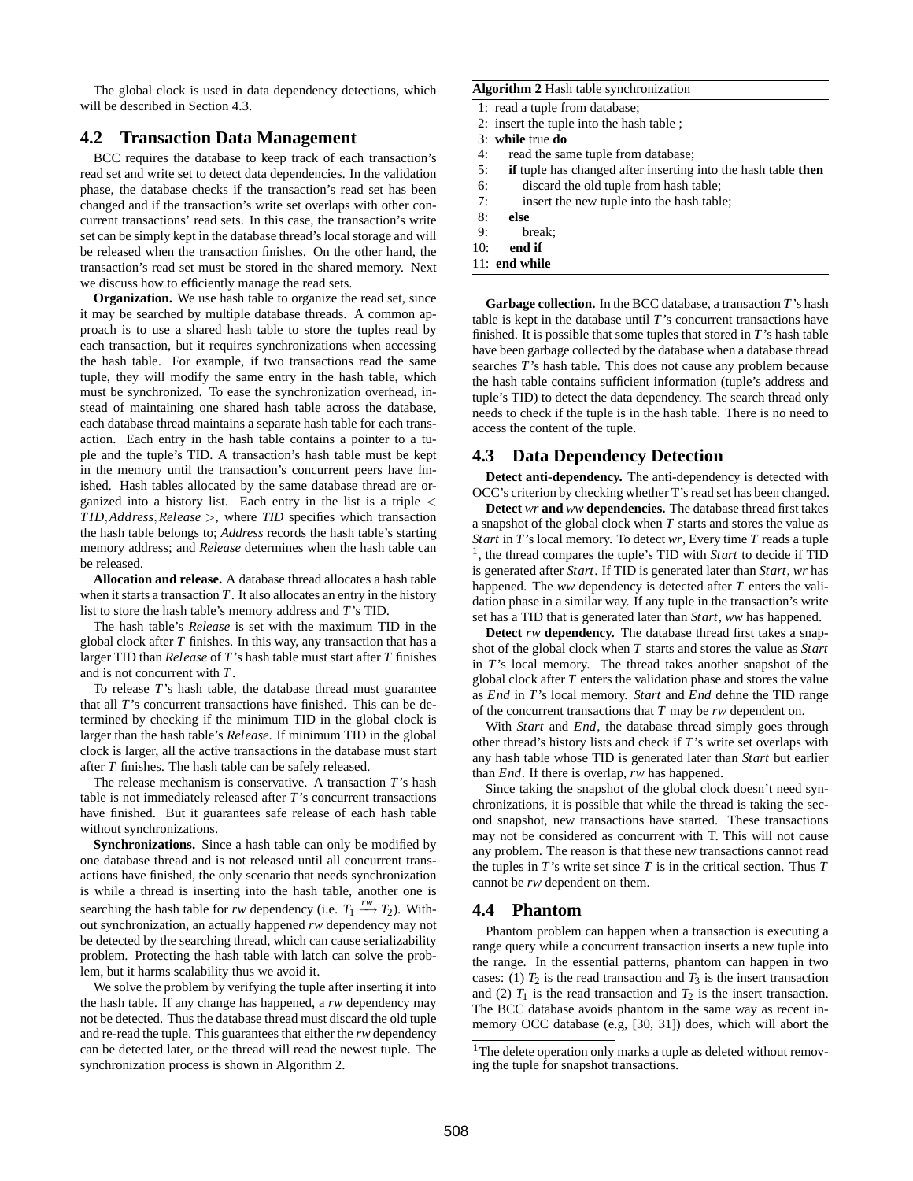The global clock is used in data dependency detections, which will be described in Section 4.3.

# **4.2 Transaction Data Management**

BCC requires the database to keep track of each transaction's read set and write set to detect data dependencies. In the validation phase, the database checks if the transaction's read set has been changed and if the transaction's write set overlaps with other concurrent transactions' read sets. In this case, the transaction's write set can be simply kept in the database thread's local storage and will be released when the transaction finishes. On the other hand, the transaction's read set must be stored in the shared memory. Next we discuss how to efficiently manage the read sets.

**Organization.** We use hash table to organize the read set, since it may be searched by multiple database threads. A common approach is to use a shared hash table to store the tuples read by each transaction, but it requires synchronizations when accessing the hash table. For example, if two transactions read the same tuple, they will modify the same entry in the hash table, which must be synchronized. To ease the synchronization overhead, instead of maintaining one shared hash table across the database, each database thread maintains a separate hash table for each transaction. Each entry in the hash table contains a pointer to a tuple and the tuple's TID. A transaction's hash table must be kept in the memory until the transaction's concurrent peers have finished. Hash tables allocated by the same database thread are organized into a history list. Each entry in the list is a triple < *T ID*,*Address*,*Release* >, where *TID* specifies which transaction the hash table belongs to; *Address* records the hash table's starting memory address; and *Release* determines when the hash table can be released.

**Allocation and release.** A database thread allocates a hash table when it starts a transaction *T*. It also allocates an entry in the history list to store the hash table's memory address and *T*'s TID.

The hash table's *Release* is set with the maximum TID in the global clock after *T* finishes. In this way, any transaction that has a larger TID than *Release* of *T*'s hash table must start after *T* finishes and is not concurrent with *T*.

To release *T*'s hash table, the database thread must guarantee that all *T*'s concurrent transactions have finished. This can be determined by checking if the minimum TID in the global clock is larger than the hash table's *Release*. If minimum TID in the global clock is larger, all the active transactions in the database must start after *T* finishes. The hash table can be safely released.

The release mechanism is conservative. A transaction *T*'s hash table is not immediately released after *T*'s concurrent transactions have finished. But it guarantees safe release of each hash table without synchronizations.

**Synchronizations.** Since a hash table can only be modified by one database thread and is not released until all concurrent transactions have finished, the only scenario that needs synchronization is while a thread is inserting into the hash table, another one is searching the hash table for *rw* dependency (i.e.  $T_1 \xrightarrow{rw} T_2$ ). Without synchronization, an actually happened *rw* dependency may not be detected by the searching thread, which can cause serializability problem. Protecting the hash table with latch can solve the problem, but it harms scalability thus we avoid it.

We solve the problem by verifying the tuple after inserting it into the hash table. If any change has happened, a *rw* dependency may not be detected. Thus the database thread must discard the old tuple and re-read the tuple. This guarantees that either the *rw* dependency can be detected later, or the thread will read the newest tuple. The synchronization process is shown in Algorithm 2.

#### **Algorithm 2** Hash table synchronization

- 1: read a tuple from database;
- 2: insert the tuple into the hash table ;
- 3: **while** true **do**
- 4: read the same tuple from database;
- 5: **if** tuple has changed after inserting into the hash table **then**
- 6: discard the old tuple from hash table;
- 7: insert the new tuple into the hash table;
- 8: **else**
- 9: break;
- 10: **end if**
- 11: **end while**

**Garbage collection.** In the BCC database, a transaction *T*'s hash table is kept in the database until *T*'s concurrent transactions have finished. It is possible that some tuples that stored in *T*'s hash table have been garbage collected by the database when a database thread searches *T*'s hash table. This does not cause any problem because the hash table contains sufficient information (tuple's address and tuple's TID) to detect the data dependency. The search thread only needs to check if the tuple is in the hash table. There is no need to access the content of the tuple.

#### **4.3 Data Dependency Detection**

**Detect anti-dependency.** The anti-dependency is detected with OCC's criterion by checking whether T's read set has been changed.

**Detect** *wr* **and** *ww* **dependencies.** The database thread first takes a snapshot of the global clock when *T* starts and stores the value as *Start* in *T*'s local memory. To detect *wr*, Every time *T* reads a tuple 1 , the thread compares the tuple's TID with *Start* to decide if TID is generated after *Start*. If TID is generated later than *Start*, *wr* has happened. The *ww* dependency is detected after *T* enters the validation phase in a similar way. If any tuple in the transaction's write set has a TID that is generated later than *Start*, *ww* has happened.

**Detect** *rw* **dependency.** The database thread first takes a snapshot of the global clock when *T* starts and stores the value as *Start* in *T*'s local memory. The thread takes another snapshot of the global clock after *T* enters the validation phase and stores the value as *End* in *T*'s local memory. *Start* and *End* define the TID range of the concurrent transactions that *T* may be *rw* dependent on.

With *Start* and *End*, the database thread simply goes through other thread's history lists and check if *T*'s write set overlaps with any hash table whose TID is generated later than *Start* but earlier than *End*. If there is overlap, *rw* has happened.

Since taking the snapshot of the global clock doesn't need synchronizations, it is possible that while the thread is taking the second snapshot, new transactions have started. These transactions may not be considered as concurrent with T. This will not cause any problem. The reason is that these new transactions cannot read the tuples in *T*'s write set since *T* is in the critical section. Thus *T* cannot be *rw* dependent on them.

# **4.4 Phantom**

Phantom problem can happen when a transaction is executing a range query while a concurrent transaction inserts a new tuple into the range. In the essential patterns, phantom can happen in two cases: (1)  $T_2$  is the read transaction and  $T_3$  is the insert transaction and (2)  $T_1$  is the read transaction and  $T_2$  is the insert transaction. The BCC database avoids phantom in the same way as recent inmemory OCC database (e.g, [30, 31]) does, which will abort the

<sup>&</sup>lt;sup>1</sup>The delete operation only marks a tuple as deleted without removing the tuple for snapshot transactions.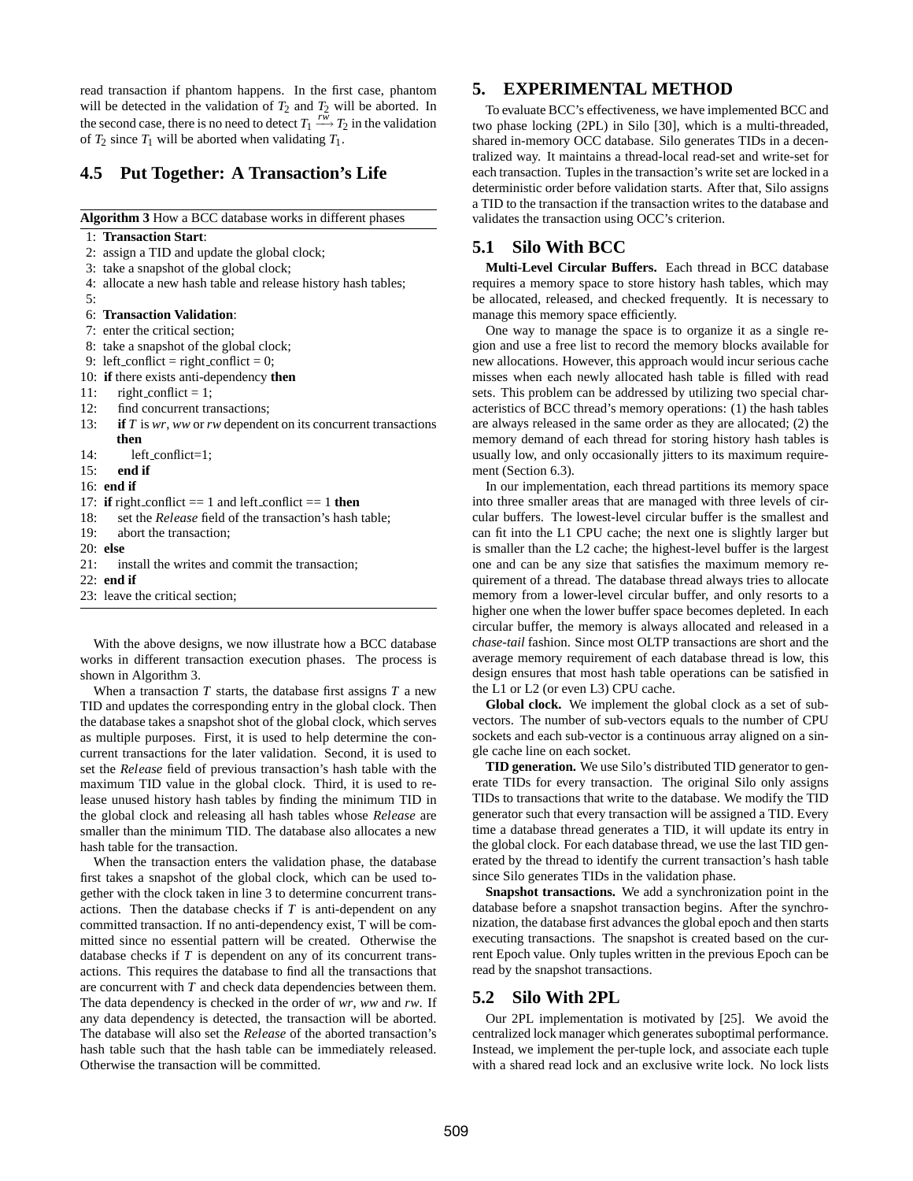read transaction if phantom happens. In the first case, phantom will be detected in the validation of  $T_2$  and  $T_2$  will be aborted. In the second case, there is no need to detect  $T_1 \xrightarrow{rw} T_2$  in the validation of  $T_2$  since  $T_1$  will be aborted when validating  $T_1$ .

# **4.5 Put Together: A Transaction's Life**

#### 1: **Transaction Start**:

- 2: assign a TID and update the global clock;
- 3: take a snapshot of the global clock;
- 4: allocate a new hash table and release history hash tables;
- 5:
- 6: **Transaction Validation**:
- 7: enter the critical section;
- 8: take a snapshot of the global clock;
- 9: left\_conflict = right\_conflict = 0;
- 10: **if** there exists anti-dependency **then**
- 11:  $right\_conflict = 1;$
- 12: find concurrent transactions;
- 13: **if** *T* is *wr*, *ww* or *rw* dependent on its concurrent transactions **then**
- 14: left conflict=1;
- 15: **end if**
- 16: **end if**
- 17: **if** right\_conflict  $= 1$  and left\_conflict  $= 1$  **then**
- 18: set the *Release* field of the transaction's hash table;
- 19: abort the transaction;
- 20: **else**
- 21: install the writes and commit the transaction;
- 22: **end if**
- 23: leave the critical section;

With the above designs, we now illustrate how a BCC database works in different transaction execution phases. The process is shown in Algorithm 3.

When a transaction *T* starts, the database first assigns *T* a new TID and updates the corresponding entry in the global clock. Then the database takes a snapshot shot of the global clock, which serves as multiple purposes. First, it is used to help determine the concurrent transactions for the later validation. Second, it is used to set the *Release* field of previous transaction's hash table with the maximum TID value in the global clock. Third, it is used to release unused history hash tables by finding the minimum TID in the global clock and releasing all hash tables whose *Release* are smaller than the minimum TID. The database also allocates a new hash table for the transaction.

When the transaction enters the validation phase, the database first takes a snapshot of the global clock, which can be used together with the clock taken in line 3 to determine concurrent transactions. Then the database checks if *T* is anti-dependent on any committed transaction. If no anti-dependency exist, T will be committed since no essential pattern will be created. Otherwise the database checks if *T* is dependent on any of its concurrent transactions. This requires the database to find all the transactions that are concurrent with *T* and check data dependencies between them. The data dependency is checked in the order of *wr*, *ww* and *rw*. If any data dependency is detected, the transaction will be aborted. The database will also set the *Release* of the aborted transaction's hash table such that the hash table can be immediately released. Otherwise the transaction will be committed.

# **5. EXPERIMENTAL METHOD**

To evaluate BCC's effectiveness, we have implemented BCC and two phase locking (2PL) in Silo [30], which is a multi-threaded, shared in-memory OCC database. Silo generates TIDs in a decentralized way. It maintains a thread-local read-set and write-set for each transaction. Tuples in the transaction's write set are locked in a deterministic order before validation starts. After that, Silo assigns a TID to the transaction if the transaction writes to the database and validates the transaction using OCC's criterion.

# **5.1 Silo With BCC**

**Multi-Level Circular Buffers.** Each thread in BCC database requires a memory space to store history hash tables, which may be allocated, released, and checked frequently. It is necessary to manage this memory space efficiently.

One way to manage the space is to organize it as a single region and use a free list to record the memory blocks available for new allocations. However, this approach would incur serious cache misses when each newly allocated hash table is filled with read sets. This problem can be addressed by utilizing two special characteristics of BCC thread's memory operations: (1) the hash tables are always released in the same order as they are allocated; (2) the memory demand of each thread for storing history hash tables is usually low, and only occasionally jitters to its maximum requirement (Section 6.3).

In our implementation, each thread partitions its memory space into three smaller areas that are managed with three levels of circular buffers. The lowest-level circular buffer is the smallest and can fit into the L1 CPU cache; the next one is slightly larger but is smaller than the L2 cache; the highest-level buffer is the largest one and can be any size that satisfies the maximum memory requirement of a thread. The database thread always tries to allocate memory from a lower-level circular buffer, and only resorts to a higher one when the lower buffer space becomes depleted. In each circular buffer, the memory is always allocated and released in a *chase-tail* fashion. Since most OLTP transactions are short and the average memory requirement of each database thread is low, this design ensures that most hash table operations can be satisfied in the L1 or L2 (or even L3) CPU cache.

**Global clock.** We implement the global clock as a set of subvectors. The number of sub-vectors equals to the number of CPU sockets and each sub-vector is a continuous array aligned on a single cache line on each socket.

**TID generation.** We use Silo's distributed TID generator to generate TIDs for every transaction. The original Silo only assigns TIDs to transactions that write to the database. We modify the TID generator such that every transaction will be assigned a TID. Every time a database thread generates a TID, it will update its entry in the global clock. For each database thread, we use the last TID generated by the thread to identify the current transaction's hash table since Silo generates TIDs in the validation phase.

**Snapshot transactions.** We add a synchronization point in the database before a snapshot transaction begins. After the synchronization, the database first advances the global epoch and then starts executing transactions. The snapshot is created based on the current Epoch value. Only tuples written in the previous Epoch can be read by the snapshot transactions.

## **5.2 Silo With 2PL**

Our 2PL implementation is motivated by [25]. We avoid the centralized lock manager which generates suboptimal performance. Instead, we implement the per-tuple lock, and associate each tuple with a shared read lock and an exclusive write lock. No lock lists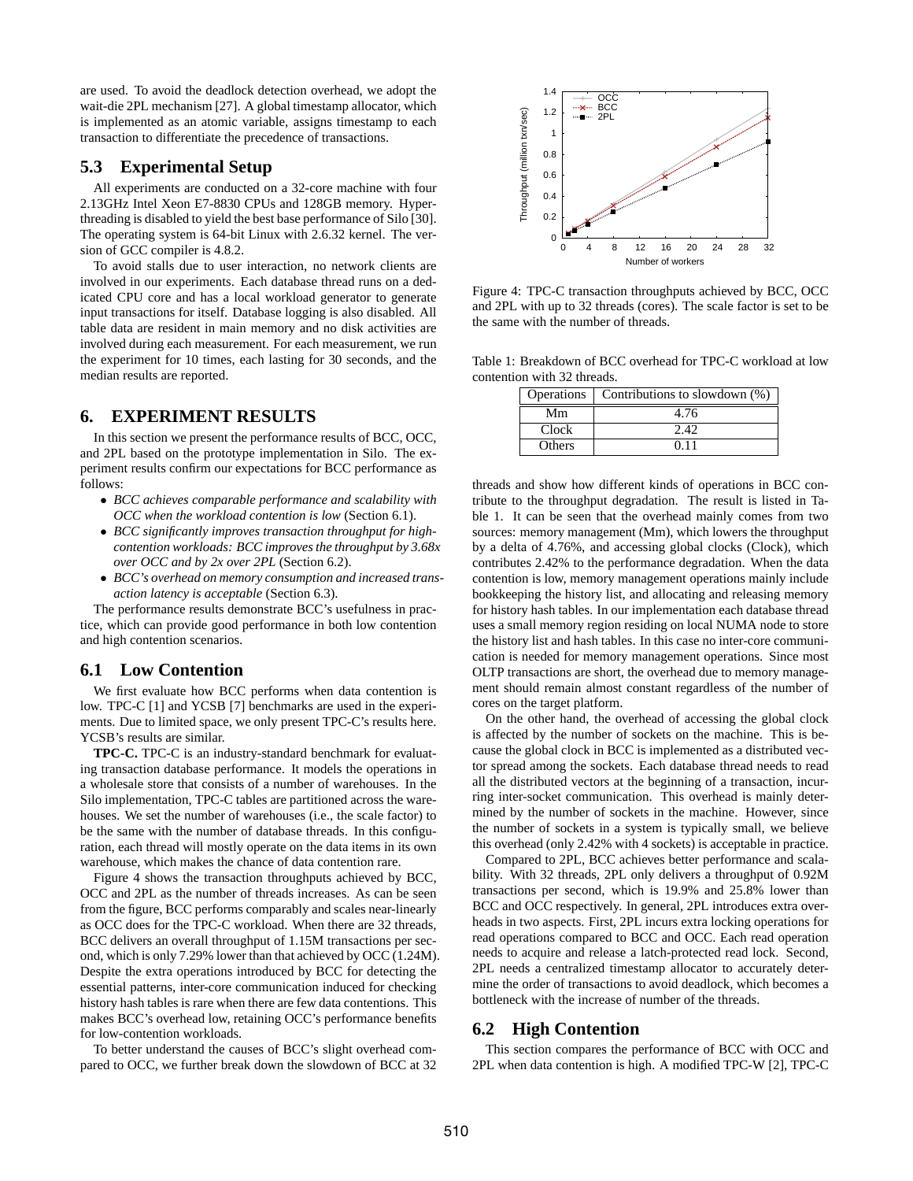are used. To avoid the deadlock detection overhead, we adopt the wait-die 2PL mechanism [27]. A global timestamp allocator, which is implemented as an atomic variable, assigns timestamp to each transaction to differentiate the precedence of transactions.

## **5.3 Experimental Setup**

All experiments are conducted on a 32-core machine with four 2.13GHz Intel Xeon E7-8830 CPUs and 128GB memory. Hyperthreading is disabled to yield the best base performance of Silo [30]. The operating system is 64-bit Linux with 2.6.32 kernel. The version of GCC compiler is 4.8.2.

To avoid stalls due to user interaction, no network clients are involved in our experiments. Each database thread runs on a dedicated CPU core and has a local workload generator to generate input transactions for itself. Database logging is also disabled. All table data are resident in main memory and no disk activities are involved during each measurement. For each measurement, we run the experiment for 10 times, each lasting for 30 seconds, and the median results are reported.

# **6. EXPERIMENT RESULTS**

In this section we present the performance results of BCC, OCC, and 2PL based on the prototype implementation in Silo. The experiment results confirm our expectations for BCC performance as follows:

- *BCC achieves comparable performance and scalability with OCC when the workload contention is low* (Section 6.1).
- *BCC significantly improves transaction throughput for highcontention workloads: BCC improves the throughput by 3.68x over OCC and by 2x over 2PL* (Section 6.2).
- *BCC's overhead on memory consumption and increased transaction latency is acceptable* (Section 6.3).

The performance results demonstrate BCC's usefulness in practice, which can provide good performance in both low contention and high contention scenarios.

## **6.1 Low Contention**

We first evaluate how BCC performs when data contention is low. TPC-C [1] and YCSB [7] benchmarks are used in the experiments. Due to limited space, we only present TPC-C's results here. YCSB's results are similar.

**TPC-C.** TPC-C is an industry-standard benchmark for evaluating transaction database performance. It models the operations in a wholesale store that consists of a number of warehouses. In the Silo implementation, TPC-C tables are partitioned across the warehouses. We set the number of warehouses (i.e., the scale factor) to be the same with the number of database threads. In this configuration, each thread will mostly operate on the data items in its own warehouse, which makes the chance of data contention rare.

Figure 4 shows the transaction throughputs achieved by BCC, OCC and 2PL as the number of threads increases. As can be seen from the figure, BCC performs comparably and scales near-linearly as OCC does for the TPC-C workload. When there are 32 threads, BCC delivers an overall throughput of 1.15M transactions per second, which is only 7.29% lower than that achieved by OCC (1.24M). Despite the extra operations introduced by BCC for detecting the essential patterns, inter-core communication induced for checking history hash tables is rare when there are few data contentions. This makes BCC's overhead low, retaining OCC's performance benefits for low-contention workloads.

To better understand the causes of BCC's slight overhead compared to OCC, we further break down the slowdown of BCC at 32



Figure 4: TPC-C transaction throughputs achieved by BCC, OCC and 2PL with up to 32 threads (cores). The scale factor is set to be the same with the number of threads.

Table 1: Breakdown of BCC overhead for TPC-C workload at low contention with 32 threads.

| <b>Operations</b> | Contributions to slowdown $(\%)$ |
|-------------------|----------------------------------|
| Mm                | 4.76                             |
| Clock             | 2.42                             |
| <b>Others</b>     | 0.11                             |

threads and show how different kinds of operations in BCC contribute to the throughput degradation. The result is listed in Table 1. It can be seen that the overhead mainly comes from two sources: memory management (Mm), which lowers the throughput by a delta of 4.76%, and accessing global clocks (Clock), which contributes 2.42% to the performance degradation. When the data contention is low, memory management operations mainly include bookkeeping the history list, and allocating and releasing memory for history hash tables. In our implementation each database thread uses a small memory region residing on local NUMA node to store the history list and hash tables. In this case no inter-core communication is needed for memory management operations. Since most OLTP transactions are short, the overhead due to memory management should remain almost constant regardless of the number of cores on the target platform.

On the other hand, the overhead of accessing the global clock is affected by the number of sockets on the machine. This is because the global clock in BCC is implemented as a distributed vector spread among the sockets. Each database thread needs to read all the distributed vectors at the beginning of a transaction, incurring inter-socket communication. This overhead is mainly determined by the number of sockets in the machine. However, since the number of sockets in a system is typically small, we believe this overhead (only 2.42% with 4 sockets) is acceptable in practice.

Compared to 2PL, BCC achieves better performance and scalability. With 32 threads, 2PL only delivers a throughput of 0.92M transactions per second, which is 19.9% and 25.8% lower than BCC and OCC respectively. In general, 2PL introduces extra overheads in two aspects. First, 2PL incurs extra locking operations for read operations compared to BCC and OCC. Each read operation needs to acquire and release a latch-protected read lock. Second, 2PL needs a centralized timestamp allocator to accurately determine the order of transactions to avoid deadlock, which becomes a bottleneck with the increase of number of the threads.

## **6.2 High Contention**

This section compares the performance of BCC with OCC and 2PL when data contention is high. A modified TPC-W [2], TPC-C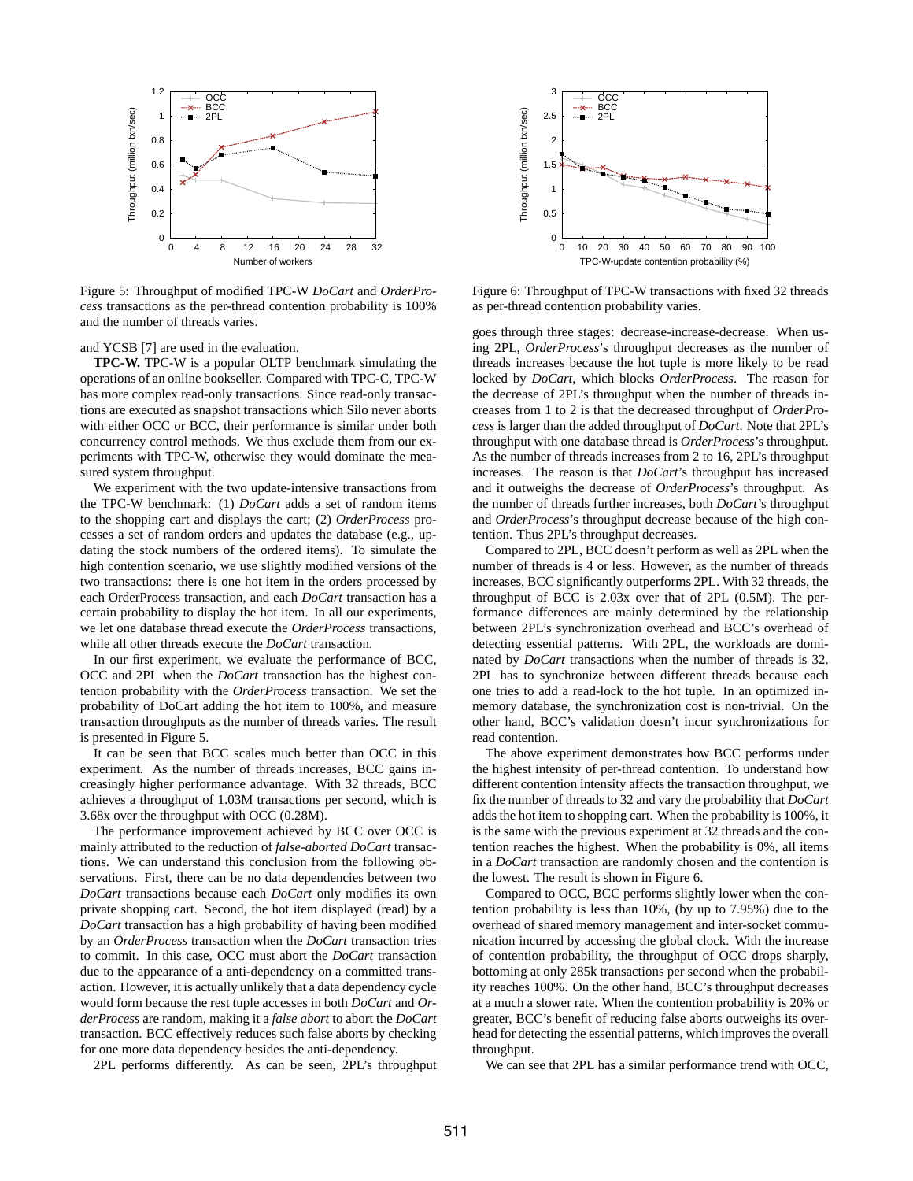

Figure 5: Throughput of modified TPC-W *DoCart* and *OrderProcess* transactions as the per-thread contention probability is 100% and the number of threads varies.

and YCSB [7] are used in the evaluation.

**TPC-W.** TPC-W is a popular OLTP benchmark simulating the operations of an online bookseller. Compared with TPC-C, TPC-W has more complex read-only transactions. Since read-only transactions are executed as snapshot transactions which Silo never aborts with either OCC or BCC, their performance is similar under both concurrency control methods. We thus exclude them from our experiments with TPC-W, otherwise they would dominate the measured system throughput.

We experiment with the two update-intensive transactions from the TPC-W benchmark: (1) *DoCart* adds a set of random items to the shopping cart and displays the cart; (2) *OrderProcess* processes a set of random orders and updates the database (e.g., updating the stock numbers of the ordered items). To simulate the high contention scenario, we use slightly modified versions of the two transactions: there is one hot item in the orders processed by each OrderProcess transaction, and each *DoCart* transaction has a certain probability to display the hot item. In all our experiments, we let one database thread execute the *OrderProcess* transactions, while all other threads execute the *DoCart* transaction.

In our first experiment, we evaluate the performance of BCC, OCC and 2PL when the *DoCart* transaction has the highest contention probability with the *OrderProcess* transaction. We set the probability of DoCart adding the hot item to 100%, and measure transaction throughputs as the number of threads varies. The result is presented in Figure 5.

It can be seen that BCC scales much better than OCC in this experiment. As the number of threads increases, BCC gains increasingly higher performance advantage. With 32 threads, BCC achieves a throughput of 1.03M transactions per second, which is 3.68x over the throughput with OCC (0.28M).

The performance improvement achieved by BCC over OCC is mainly attributed to the reduction of *false-aborted DoCart* transactions. We can understand this conclusion from the following observations. First, there can be no data dependencies between two *DoCart* transactions because each *DoCart* only modifies its own private shopping cart. Second, the hot item displayed (read) by a *DoCart* transaction has a high probability of having been modified by an *OrderProcess* transaction when the *DoCart* transaction tries to commit. In this case, OCC must abort the *DoCart* transaction due to the appearance of a anti-dependency on a committed transaction. However, it is actually unlikely that a data dependency cycle would form because the rest tuple accesses in both *DoCart* and *OrderProcess* are random, making it a *false abort* to abort the *DoCart* transaction. BCC effectively reduces such false aborts by checking for one more data dependency besides the anti-dependency.

2PL performs differently. As can be seen, 2PL's throughput



Figure 6: Throughput of TPC-W transactions with fixed 32 threads as per-thread contention probability varies.

goes through three stages: decrease-increase-decrease. When using 2PL, *OrderProcess*'s throughput decreases as the number of threads increases because the hot tuple is more likely to be read locked by *DoCart*, which blocks *OrderProcess*. The reason for the decrease of 2PL's throughput when the number of threads increases from 1 to 2 is that the decreased throughput of *OrderProcess* is larger than the added throughput of *DoCart*. Note that 2PL's throughput with one database thread is *OrderProcess*'s throughput. As the number of threads increases from 2 to 16, 2PL's throughput increases. The reason is that *DoCart*'s throughput has increased and it outweighs the decrease of *OrderProcess*'s throughput. As the number of threads further increases, both *DoCart*'s throughput and *OrderProcess*'s throughput decrease because of the high contention. Thus 2PL's throughput decreases.

Compared to 2PL, BCC doesn't perform as well as 2PL when the number of threads is 4 or less. However, as the number of threads increases, BCC significantly outperforms 2PL. With 32 threads, the throughput of BCC is 2.03x over that of 2PL (0.5M). The performance differences are mainly determined by the relationship between 2PL's synchronization overhead and BCC's overhead of detecting essential patterns. With 2PL, the workloads are dominated by *DoCart* transactions when the number of threads is 32. 2PL has to synchronize between different threads because each one tries to add a read-lock to the hot tuple. In an optimized inmemory database, the synchronization cost is non-trivial. On the other hand, BCC's validation doesn't incur synchronizations for read contention.

The above experiment demonstrates how BCC performs under the highest intensity of per-thread contention. To understand how different contention intensity affects the transaction throughput, we fix the number of threads to 32 and vary the probability that *DoCart* adds the hot item to shopping cart. When the probability is 100%, it is the same with the previous experiment at 32 threads and the contention reaches the highest. When the probability is 0%, all items in a *DoCart* transaction are randomly chosen and the contention is the lowest. The result is shown in Figure 6.

Compared to OCC, BCC performs slightly lower when the contention probability is less than 10%, (by up to 7.95%) due to the overhead of shared memory management and inter-socket communication incurred by accessing the global clock. With the increase of contention probability, the throughput of OCC drops sharply, bottoming at only 285k transactions per second when the probability reaches 100%. On the other hand, BCC's throughput decreases at a much a slower rate. When the contention probability is 20% or greater, BCC's benefit of reducing false aborts outweighs its overhead for detecting the essential patterns, which improves the overall throughput.

We can see that 2PL has a similar performance trend with OCC,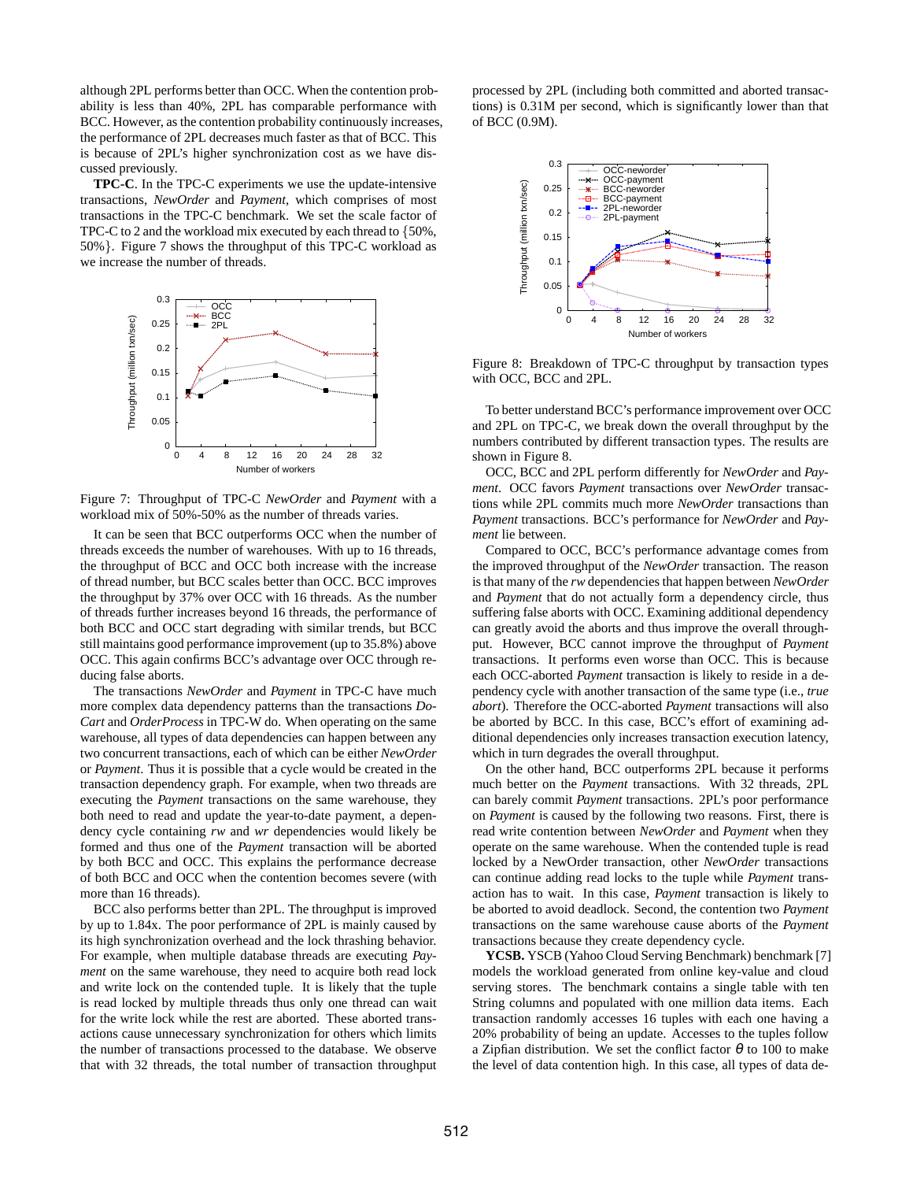although 2PL performs better than OCC. When the contention probability is less than 40%, 2PL has comparable performance with BCC. However, as the contention probability continuously increases, the performance of 2PL decreases much faster as that of BCC. This is because of 2PL's higher synchronization cost as we have discussed previously.

**TPC-C**. In the TPC-C experiments we use the update-intensive transactions, *NewOrder* and *Payment*, which comprises of most transactions in the TPC-C benchmark. We set the scale factor of TPC-C to 2 and the workload mix executed by each thread to {50%, 50%}. Figure 7 shows the throughput of this TPC-C workload as we increase the number of threads.



Figure 7: Throughput of TPC-C *NewOrder* and *Payment* with a workload mix of 50%-50% as the number of threads varies.

It can be seen that BCC outperforms OCC when the number of threads exceeds the number of warehouses. With up to 16 threads, the throughput of BCC and OCC both increase with the increase of thread number, but BCC scales better than OCC. BCC improves the throughput by 37% over OCC with 16 threads. As the number of threads further increases beyond 16 threads, the performance of both BCC and OCC start degrading with similar trends, but BCC still maintains good performance improvement (up to 35.8%) above OCC. This again confirms BCC's advantage over OCC through reducing false aborts.

The transactions *NewOrder* and *Payment* in TPC-C have much more complex data dependency patterns than the transactions *Do-Cart* and *OrderProcess* in TPC-W do. When operating on the same warehouse, all types of data dependencies can happen between any two concurrent transactions, each of which can be either *NewOrder* or *Payment*. Thus it is possible that a cycle would be created in the transaction dependency graph. For example, when two threads are executing the *Payment* transactions on the same warehouse, they both need to read and update the year-to-date payment, a dependency cycle containing *rw* and *wr* dependencies would likely be formed and thus one of the *Payment* transaction will be aborted by both BCC and OCC. This explains the performance decrease of both BCC and OCC when the contention becomes severe (with more than 16 threads).

BCC also performs better than 2PL. The throughput is improved by up to 1.84x. The poor performance of 2PL is mainly caused by its high synchronization overhead and the lock thrashing behavior. For example, when multiple database threads are executing *Payment* on the same warehouse, they need to acquire both read lock and write lock on the contended tuple. It is likely that the tuple is read locked by multiple threads thus only one thread can wait for the write lock while the rest are aborted. These aborted transactions cause unnecessary synchronization for others which limits the number of transactions processed to the database. We observe that with 32 threads, the total number of transaction throughput processed by 2PL (including both committed and aborted transactions) is 0.31M per second, which is significantly lower than that of BCC (0.9M).



Figure 8: Breakdown of TPC-C throughput by transaction types with OCC, BCC and 2PL.

To better understand BCC's performance improvement over OCC and 2PL on TPC-C, we break down the overall throughput by the numbers contributed by different transaction types. The results are shown in Figure 8.

OCC, BCC and 2PL perform differently for *NewOrder* and *Payment*. OCC favors *Payment* transactions over *NewOrder* transactions while 2PL commits much more *NewOrder* transactions than *Payment* transactions. BCC's performance for *NewOrder* and *Payment* lie between.

Compared to OCC, BCC's performance advantage comes from the improved throughput of the *NewOrder* transaction. The reason is that many of the *rw* dependencies that happen between *NewOrder* and *Payment* that do not actually form a dependency circle, thus suffering false aborts with OCC. Examining additional dependency can greatly avoid the aborts and thus improve the overall throughput. However, BCC cannot improve the throughput of *Payment* transactions. It performs even worse than OCC. This is because each OCC-aborted *Payment* transaction is likely to reside in a dependency cycle with another transaction of the same type (i.e., *true abort*). Therefore the OCC-aborted *Payment* transactions will also be aborted by BCC. In this case, BCC's effort of examining additional dependencies only increases transaction execution latency, which in turn degrades the overall throughput.

On the other hand, BCC outperforms 2PL because it performs much better on the *Payment* transactions. With 32 threads, 2PL can barely commit *Payment* transactions. 2PL's poor performance on *Payment* is caused by the following two reasons. First, there is read write contention between *NewOrder* and *Payment* when they operate on the same warehouse. When the contended tuple is read locked by a NewOrder transaction, other *NewOrder* transactions can continue adding read locks to the tuple while *Payment* transaction has to wait. In this case, *Payment* transaction is likely to be aborted to avoid deadlock. Second, the contention two *Payment* transactions on the same warehouse cause aborts of the *Payment* transactions because they create dependency cycle.

**YCSB.** YSCB (Yahoo Cloud Serving Benchmark) benchmark [7] models the workload generated from online key-value and cloud serving stores. The benchmark contains a single table with ten String columns and populated with one million data items. Each transaction randomly accesses 16 tuples with each one having a 20% probability of being an update. Accesses to the tuples follow a Zipfian distribution. We set the conflict factor  $\theta$  to 100 to make the level of data contention high. In this case, all types of data de-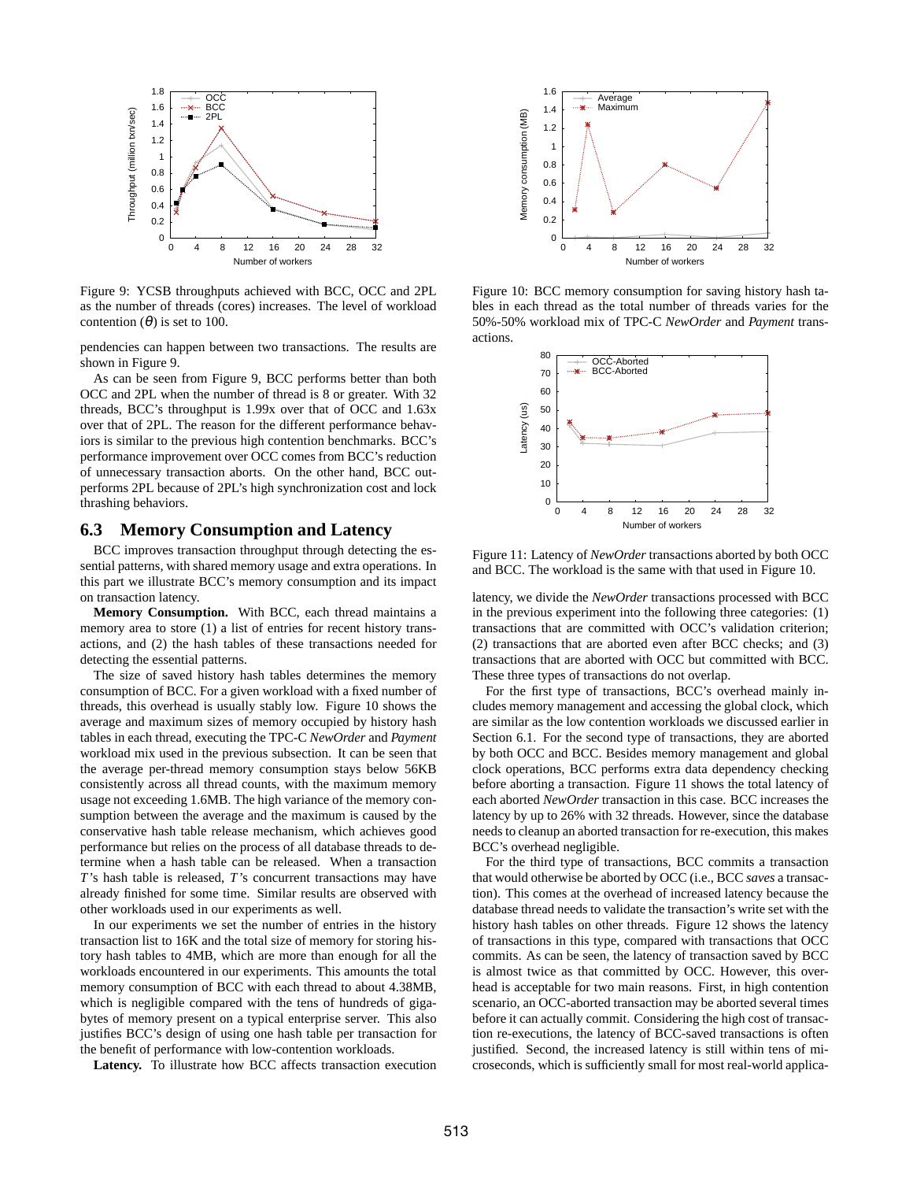

Figure 9: YCSB throughputs achieved with BCC, OCC and 2PL as the number of threads (cores) increases. The level of workload contention  $(\theta)$  is set to 100.

pendencies can happen between two transactions. The results are shown in Figure 9.

As can be seen from Figure 9, BCC performs better than both OCC and 2PL when the number of thread is 8 or greater. With 32 threads, BCC's throughput is 1.99x over that of OCC and 1.63x over that of 2PL. The reason for the different performance behaviors is similar to the previous high contention benchmarks. BCC's performance improvement over OCC comes from BCC's reduction of unnecessary transaction aborts. On the other hand, BCC outperforms 2PL because of 2PL's high synchronization cost and lock thrashing behaviors.

#### **6.3 Memory Consumption and Latency**

BCC improves transaction throughput through detecting the essential patterns, with shared memory usage and extra operations. In this part we illustrate BCC's memory consumption and its impact on transaction latency.

**Memory Consumption.** With BCC, each thread maintains a memory area to store (1) a list of entries for recent history transactions, and (2) the hash tables of these transactions needed for detecting the essential patterns.

The size of saved history hash tables determines the memory consumption of BCC. For a given workload with a fixed number of threads, this overhead is usually stably low. Figure 10 shows the average and maximum sizes of memory occupied by history hash tables in each thread, executing the TPC-C *NewOrder* and *Payment* workload mix used in the previous subsection. It can be seen that the average per-thread memory consumption stays below 56KB consistently across all thread counts, with the maximum memory usage not exceeding 1.6MB. The high variance of the memory consumption between the average and the maximum is caused by the conservative hash table release mechanism, which achieves good performance but relies on the process of all database threads to determine when a hash table can be released. When a transaction *T*'s hash table is released, *T*'s concurrent transactions may have already finished for some time. Similar results are observed with other workloads used in our experiments as well.

In our experiments we set the number of entries in the history transaction list to 16K and the total size of memory for storing history hash tables to 4MB, which are more than enough for all the workloads encountered in our experiments. This amounts the total memory consumption of BCC with each thread to about 4.38MB, which is negligible compared with the tens of hundreds of gigabytes of memory present on a typical enterprise server. This also justifies BCC's design of using one hash table per transaction for the benefit of performance with low-contention workloads.

**Latency.** To illustrate how BCC affects transaction execution



Figure 10: BCC memory consumption for saving history hash tables in each thread as the total number of threads varies for the 50%-50% workload mix of TPC-C *NewOrder* and *Payment* transactions.



Figure 11: Latency of *NewOrder* transactions aborted by both OCC and BCC. The workload is the same with that used in Figure 10.

latency, we divide the *NewOrder* transactions processed with BCC in the previous experiment into the following three categories: (1) transactions that are committed with OCC's validation criterion; (2) transactions that are aborted even after BCC checks; and (3) transactions that are aborted with OCC but committed with BCC. These three types of transactions do not overlap.

For the first type of transactions, BCC's overhead mainly includes memory management and accessing the global clock, which are similar as the low contention workloads we discussed earlier in Section 6.1. For the second type of transactions, they are aborted by both OCC and BCC. Besides memory management and global clock operations, BCC performs extra data dependency checking before aborting a transaction. Figure 11 shows the total latency of each aborted *NewOrder* transaction in this case. BCC increases the latency by up to 26% with 32 threads. However, since the database needs to cleanup an aborted transaction for re-execution, this makes BCC's overhead negligible.

For the third type of transactions, BCC commits a transaction that would otherwise be aborted by OCC (i.e., BCC *saves* a transaction). This comes at the overhead of increased latency because the database thread needs to validate the transaction's write set with the history hash tables on other threads. Figure 12 shows the latency of transactions in this type, compared with transactions that OCC commits. As can be seen, the latency of transaction saved by BCC is almost twice as that committed by OCC. However, this overhead is acceptable for two main reasons. First, in high contention scenario, an OCC-aborted transaction may be aborted several times before it can actually commit. Considering the high cost of transaction re-executions, the latency of BCC-saved transactions is often justified. Second, the increased latency is still within tens of microseconds, which is sufficiently small for most real-world applica-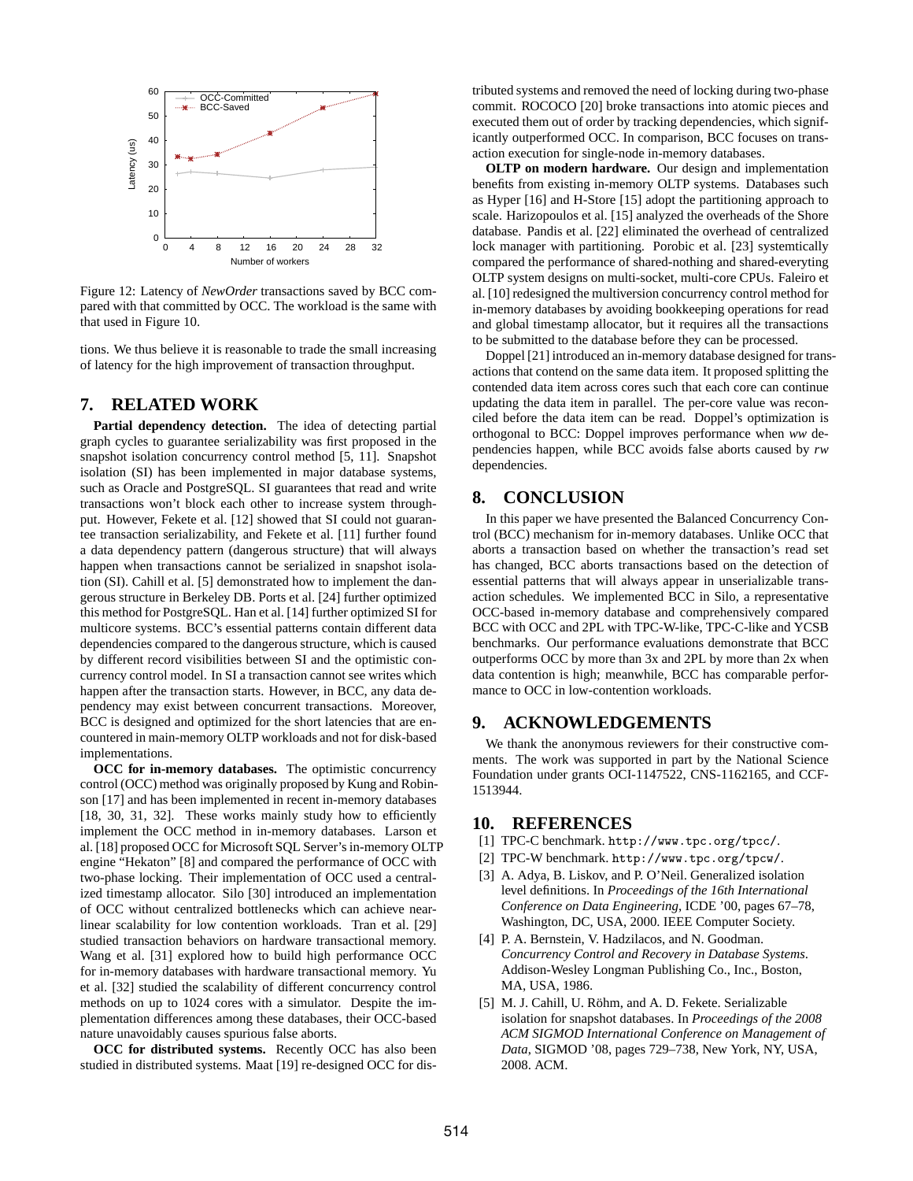

Figure 12: Latency of *NewOrder* transactions saved by BCC compared with that committed by OCC. The workload is the same with that used in Figure 10.

tions. We thus believe it is reasonable to trade the small increasing of latency for the high improvement of transaction throughput.

# **7. RELATED WORK**

Partial dependency detection. The idea of detecting partial graph cycles to guarantee serializability was first proposed in the snapshot isolation concurrency control method [5, 11]. Snapshot isolation (SI) has been implemented in major database systems, such as Oracle and PostgreSQL. SI guarantees that read and write transactions won't block each other to increase system throughput. However, Fekete et al. [12] showed that SI could not guarantee transaction serializability, and Fekete et al. [11] further found a data dependency pattern (dangerous structure) that will always happen when transactions cannot be serialized in snapshot isolation (SI). Cahill et al. [5] demonstrated how to implement the dangerous structure in Berkeley DB. Ports et al. [24] further optimized this method for PostgreSQL. Han et al. [14] further optimized SI for multicore systems. BCC's essential patterns contain different data dependencies compared to the dangerous structure, which is caused by different record visibilities between SI and the optimistic concurrency control model. In SI a transaction cannot see writes which happen after the transaction starts. However, in BCC, any data dependency may exist between concurrent transactions. Moreover, BCC is designed and optimized for the short latencies that are encountered in main-memory OLTP workloads and not for disk-based implementations.

**OCC for in-memory databases.** The optimistic concurrency control (OCC) method was originally proposed by Kung and Robinson [17] and has been implemented in recent in-memory databases [18, 30, 31, 32]. These works mainly study how to efficiently implement the OCC method in in-memory databases. Larson et al. [18] proposed OCC for Microsoft SQL Server's in-memory OLTP engine "Hekaton" [8] and compared the performance of OCC with two-phase locking. Their implementation of OCC used a centralized timestamp allocator. Silo [30] introduced an implementation of OCC without centralized bottlenecks which can achieve nearlinear scalability for low contention workloads. Tran et al. [29] studied transaction behaviors on hardware transactional memory. Wang et al. [31] explored how to build high performance OCC for in-memory databases with hardware transactional memory. Yu et al. [32] studied the scalability of different concurrency control methods on up to 1024 cores with a simulator. Despite the implementation differences among these databases, their OCC-based nature unavoidably causes spurious false aborts.

**OCC for distributed systems.** Recently OCC has also been studied in distributed systems. Maat [19] re-designed OCC for distributed systems and removed the need of locking during two-phase commit. ROCOCO [20] broke transactions into atomic pieces and executed them out of order by tracking dependencies, which significantly outperformed OCC. In comparison, BCC focuses on transaction execution for single-node in-memory databases.

**OLTP on modern hardware.** Our design and implementation benefits from existing in-memory OLTP systems. Databases such as Hyper [16] and H-Store [15] adopt the partitioning approach to scale. Harizopoulos et al. [15] analyzed the overheads of the Shore database. Pandis et al. [22] eliminated the overhead of centralized lock manager with partitioning. Porobic et al. [23] systemtically compared the performance of shared-nothing and shared-everyting OLTP system designs on multi-socket, multi-core CPUs. Faleiro et al. [10] redesigned the multiversion concurrency control method for in-memory databases by avoiding bookkeeping operations for read and global timestamp allocator, but it requires all the transactions to be submitted to the database before they can be processed.

Doppel [21] introduced an in-memory database designed for transactions that contend on the same data item. It proposed splitting the contended data item across cores such that each core can continue updating the data item in parallel. The per-core value was reconciled before the data item can be read. Doppel's optimization is orthogonal to BCC: Doppel improves performance when *ww* dependencies happen, while BCC avoids false aborts caused by *rw* dependencies.

# **8. CONCLUSION**

In this paper we have presented the Balanced Concurrency Control (BCC) mechanism for in-memory databases. Unlike OCC that aborts a transaction based on whether the transaction's read set has changed, BCC aborts transactions based on the detection of essential patterns that will always appear in unserializable transaction schedules. We implemented BCC in Silo, a representative OCC-based in-memory database and comprehensively compared BCC with OCC and 2PL with TPC-W-like, TPC-C-like and YCSB benchmarks. Our performance evaluations demonstrate that BCC outperforms OCC by more than 3x and 2PL by more than 2x when data contention is high; meanwhile, BCC has comparable performance to OCC in low-contention workloads.

## **9. ACKNOWLEDGEMENTS**

We thank the anonymous reviewers for their constructive comments. The work was supported in part by the National Science Foundation under grants OCI-1147522, CNS-1162165, and CCF-1513944.

## **10. REFERENCES**

- [1] TPC-C benchmark. http://www.tpc.org/tpcc/.
- [2] TPC-W benchmark. http://www.tpc.org/tpcw/.
- [3] A. Adya, B. Liskov, and P. O'Neil. Generalized isolation level definitions. In *Proceedings of the 16th International Conference on Data Engineering*, ICDE '00, pages 67–78, Washington, DC, USA, 2000. IEEE Computer Society.
- [4] P. A. Bernstein, V. Hadzilacos, and N. Goodman. *Concurrency Control and Recovery in Database Systems*. Addison-Wesley Longman Publishing Co., Inc., Boston, MA, USA, 1986.
- [5] M. J. Cahill, U. Röhm, and A. D. Fekete. Serializable isolation for snapshot databases. In *Proceedings of the 2008 ACM SIGMOD International Conference on Management of Data*, SIGMOD '08, pages 729–738, New York, NY, USA, 2008. ACM.